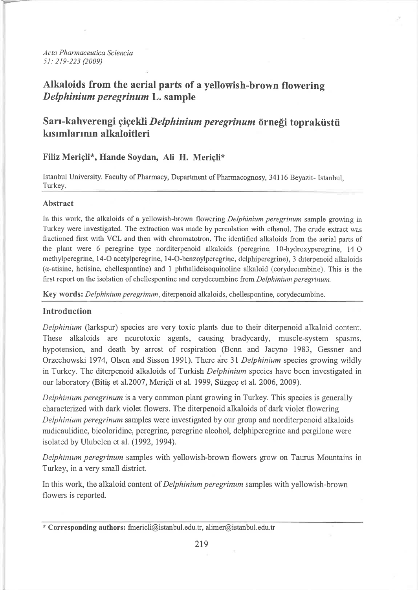Acta Pharmaceutica Sciencia 51: 219-223 (2009)

# Alkaloids from the aerial parts of a yellowish-brown flowering Delphinium peregrinum L. sample

# Sarı-kahverengi çiçekli Delphinium peregrinum örneği topraküstü kısımlarının alkaloitleri

## Filiz Mericli\*, Hande Soydan, Ali H. Mericli\*

Istanbul University, Faculty of Pharmacy, Department of Pharmacognosy, 34116 Beyazit- Istanbul, Turkey.

## **Abstract**

In this work, the alkaloids of a yellowish-brown flowering *Delphinium peregrinum* sample growing in Turkey were investigated. The extraction was made by percolation with ethanol. The crude extract was fractioned first with VCL and then with chromatotron. The identified alkaloids from the aerial parts of the plant were 6 peregrine type norditerpenoid alkaloids (peregrine, 10-hydroxyperegrine, 14-O methylperegrine, 14-O acetylperegrine, 14-O-benzoylperegrine, delphiperegrine), 3 diterpenoid alkaloids  $(\alpha$ -atisine, hetisine, chellespontine) and 1 phthalideisoquinoline alkaloid (corydecumbine). This is the first report on the isolation of chellespontine and corydecumbine from *Delphinium peregrinum*.

Key words: Delphinium peregrinum, diterpenoid alkaloids, chellespontine, corydecumbine.

## Introduction

Delphinium (larkspur) species are very toxic plants due to their diterpenoid alkaloid content. These alkaloids are neurotoxic agents, causing bradycardy, muscle-system spasms, hypotension, and death by arrest of respiration (Benn and Jacyno 1983, Gessner and Orzechowski 1974, Olsen and Sisson 1991). There are 31 Delphinium species growing wildly in Turkey. The diterpenoid alkaloids of Turkish *Delphinium* species have been investigated in our laboratory (Bitis et al.2007, Mericli et al. 1999, Süzgeç et al. 2006, 2009).

Delphinium peregrinum is a very common plant growing in Turkey. This species is generally characterized with dark violet flowers. The diterpenoid alkaloids of dark violet flowering Delphinium peregrinum samples were investigated by our group and norditerpenoid alkaloids nudicaulidine, bicoloridine, peregrine, peregrine alcohol, delphiperegrine and pergilone were isolated by Ulubelen et al. (1992, 1994).

Delphinium peregrinum samples with yellowish-brown flowers grow on Taurus Mountains in Turkey, in a very small district.

In this work, the alkaloid content of *Delphinium peregrinum* samples with yellowish-brown flowers is reported.

<sup>\*</sup> Corresponding authors: fmericli@istanbul.edu.tr, alimer@istanbul.edu.tr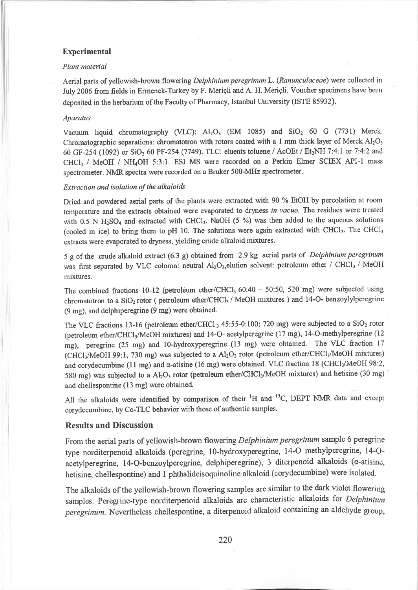### Experimental

#### Plant material

Aerial parts of yellowish-brown flowering Delphinium peregrinum L. (Ranunculaceae) were collected in July 2006 from fields in Ermenek-Twkey by F. Meriçli and A. H. Meriçli. Voucher specimens have been deposited in the herbarium of the Faculty of Pharmacy, Istanbul University (ISTE 85932).

#### Aparatus

Vacuum liquid chromatography (VLC):  $Al_2O_3$  (EM 1085) and  $SiO_2$  60 G (7731) Merck. Chromatographic separations: chromatotron with rotors coated with a 1 mm thick layer of Merck  $Al_2O_3$ 60 GF-254 (1092) or SiO<sub>2</sub> 60 PF-254 (7749). TLC: eluents toluene / AcOEt / Et<sub>2</sub>NH 7:4:1 or 7:4:2 and CHCl<sub>3</sub> / MeOH / NH<sub>4</sub>OH 5:3:1. ESI MS were recorded on a Perkin Elmer SCIEX API-1 mass spectrometer. NMR spectra were recorded on a Bruker 500-MIIz spectrometer.

#### Extraction and isolation of the alkaloids

Dried and powdered aerial parts of the plants were extracted with 90 % EtOH by percolation at room temperature and the extracts obtained were evaporated to drymess in vacuo. The residues were treated with  $0.5$  N H<sub>2</sub>SO<sub>4</sub> and extracted with CHCl<sub>3</sub>. NaOH (5 %) was then added to the aqueous solutions (cooled in ice) to bring them to pH 10. The solutions were again extracted with CHCl<sub>3</sub>. The CHCl<sub>3</sub> extracts were evaporated to dryness, yielding crude alkaloid mixtures.

<sup>5</sup>g of the crude alkaloid extract (6.3 g) obtained from 2.9 kg aerial parts of Delphinium peregrinum was first separated by VLC colomn: neutral Al<sub>2</sub>O<sub>3</sub>, elution solvent: petroleum ether / CHCl<sub>3</sub> / MeOH mixtures.

The combined fractions 10-12 (petroleum ether/CHCl<sub>3</sub> 60:40 - 50:50, 520 mg) were subjected using chromatotron to a SiO<sub>2</sub> rotor ( petroleum ether/CHCl<sub>3</sub> / MeOH mixtures ) and 14-O- benzoylylperegrine (9 mg), and delphiperegrine (9 mg) were obtained.

The VLC fractions 13-16 (petroleum ether/CHCl  $_3$  45:55-0:100; 720 mg) were subjected to a SiO<sub>2</sub> rotor (petroleum ether/CHCl<sub>3</sub>/MeOH mixtures) and 14-O- acetylperegrine (17 mg), 14-O-methylperegrine (12 mg), peregrine (25 mg) and l0-hydroxyperegrine (13 mg) were obtained. The VLC fraction <sup>17</sup> (CHCl<sub>3</sub>/MeOH 99:1, 730 mg) was subjected to a Al<sub>2</sub>O<sub>3</sub> rotor (petroleum ether/CHCl<sub>3</sub>/MeOH mixtures) and corydecumbine (11 mg) and  $\alpha$ -atisine (16 mg) were obtained. VLC fraction 18 (CHCl<sub>3</sub>/MeOH 98:2, 580 mg) was subjected to a Al<sub>2</sub>O<sub>3</sub> rotor (petroleum ether/CHCl<sub>3</sub>/MeOH mixtures) and hetisine (30 mg) and chellespontine (13 mg) were obtained.

All the alkaloids were identified by comparison of their  $H$  and  $H^3C$ , DEPT NMR data and except corydecumbine, by Co-TLC behavior with those of authentic samples.

### Results and Discussion

From the aerial parts of yellowish-brown flowering Delphinium peregrinum sample 6 peregrine type norditerpenoid alkaloids (peregrine, l0-hydroxyperegrine, 14-O methylperegrine, 14-Oacetylperegrine, 14-O-benzoylperegrine, delphiperegrine), 3 diterpenoid alkaloids ( $\alpha$ -atisine, hetisine, chellespontine) and I phthalideisoquinoline alkaloid (corydecumbine) were isolated.

The alkaloids of the yellowish-brown flowering samples are similar to the dark violet flowering samples. Peregrine-type norditerpenoid alkaloids are characteristic alkaloids for Delphinium peregrinum. Nevertheless chellespontine, a diterpenoid alkaloid containing an aldehyde group,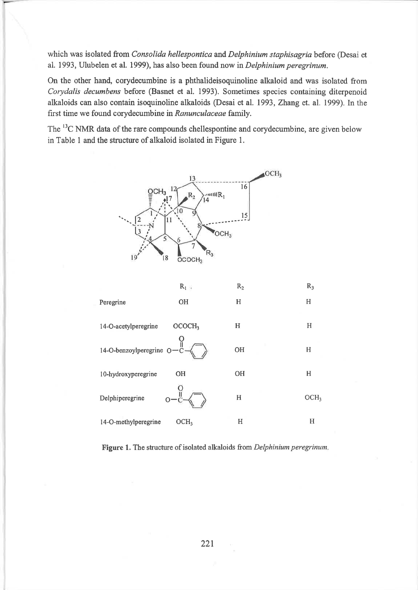which was isolated from Consolida hellespontica and Delphinium staphisagria before (Desai et al. 1993, Ulubelen et al. 1999), has also been found now in Delphinium peregrinum.

On the other hand, corydecumbine is a phthalideisoquinoline alkaloid and was isolated from Corydalis decumbens before (Basnet et al. 1993). Sometimes species containing diterpenoid alkaloids can also contain isoquinoline alkaloids (Desai et al. 1993, Zhang et. al. 1999). In the first time we found corydecumbine in Ranunculaceae family.

The <sup>13</sup>C NMR data of the rare compounds chellespontine and corydecumbine, are given below in Table I and the structure of alkaloid isolated in Figure l.





Figure 1. The structure of isolated alkaloids from Delphinium peregrinum.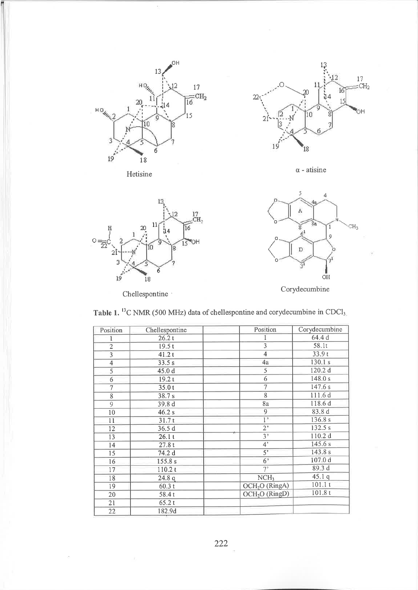

Hetisine



 $\alpha$  - atisine



Chellespontine :

i,



Corydecumbine

Table 1.  ${}^{13}$ C NMR (500 MHz) data of chellespontine and corydecumbine in CDCl<sub>3</sub>

| Position                | Chellespontine | Position                   | Corydecumbine      |
|-------------------------|----------------|----------------------------|--------------------|
|                         | 26.2t          |                            | 64.4 d             |
| $\overline{2}$          | 19.5t          | 3                          | 58.1t              |
| $\overline{\mathbf{3}}$ | 41.2t          | $\overline{4}$             | 33.9t              |
| $\overline{4}$          | 33.5 s         | 4a                         | 130.1 s            |
| 5                       | 45.0 d         | 5                          | 120.2 d            |
| 6                       | 19.2t          | 6                          | 148.0 s            |
| 7                       | 35.0t          | 7                          | 147.6 s            |
| 8                       | 38.7s          | 8                          | 111.6 d            |
| 9                       | 39.8 d         | 8a                         | 118.6 d            |
| 10                      | 46.2 s         | 9                          | 83.8 d             |
| $\overline{11}$         | 31.7t          | 1"                         | 136.8 s            |
| 12                      | 36.5d          | $2^*$                      | 132.5 s            |
| 13                      | 26.1t          | $3+$                       | 110.2 d            |
| 14                      | 27.8t          | 4 <sup>2</sup>             | 145.6 s            |
| 15                      | 74.2 d         | 5 <sup>7</sup>             | 143.8 s            |
| 16                      | 155.8 s        | 6 <sup>5</sup>             | 107.0 <sub>d</sub> |
| 17                      | 110.2 t        | 7'                         | 89.3 d             |
| 18                      | 24.8q          | NCH <sub>3</sub>           | 45.1q              |
| 19                      | 60.3t          | OCH <sub>2</sub> O (RingA) | 101.1t             |
| 20                      | 58.4t          | OCH <sub>2</sub> O (RingD) | 101.8t             |
| 21                      | 65.2t          |                            |                    |
| 22                      | 182.9d         |                            |                    |